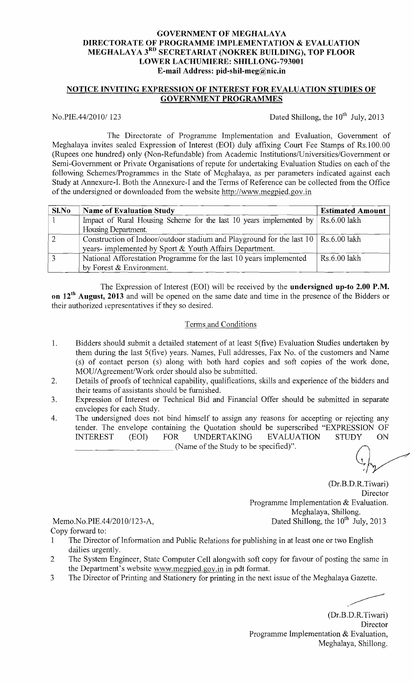## GOVERNMENT OF MEGHALAYA DIRECTORATE OF PROGRAMME IMPLEMENTATION & EVALUATION MEGHALAYA 3<sup>RD</sup> SECRETARIAT (NOKREK BUILDING), TOP FLOOR LOWER LACHUMIERE: SHILLONG-793001 E-mail Address: pid-shil-meg@nic.in

## NOTICE INVITING EXPRESSION OF INTEREST FOR EVALUATION STUDIES OF GOVERNMENT PROGRAMMES

No.PIE,  $44/2010/123$  Dated Shillong, the 10<sup>th</sup> July, 2013

The Directorate of Programme Implementation and Evaluation, Government of Meghalaya invites sealed Expression of Interest (EOI) duly affixing Court Fee Stamps of Rs.I 00.00 (Rupees one hundred) only (Non-Refundable) from Academic Institutions/Universities/Government or Semi-Government or Private Organisations of repute for undertaking Evaluation Studies on each of the following Schemes/Programmes in the State of Meghalaya, as per parameters indicated against each Study at Annexure-I. Both the Annexure-I and the Terms of Reference can be collected from the Office ofthe undersigned or downloaded from the website http://www.megpied.gov.in

| Sl.No | <b>Name of Evaluation Study</b>                                                                          | <b>Estimated Amount</b> |
|-------|----------------------------------------------------------------------------------------------------------|-------------------------|
|       | Impact of Rural Housing Scheme for the last 10 years implemented by $\vert$ Rs.6.00 lakh                 |                         |
|       | Housing Department.                                                                                      |                         |
| ി     | Construction of Indoor/outdoor stadium and Playground for the last $10 \mid \text{Rs.}6.00 \text{ lakh}$ |                         |
|       | years- implemented by Sport & Youth Affairs Department.                                                  |                         |
|       | National Afforestation Programme for the last 10 years implemented                                       | Rs.6.00 lakh            |
|       | by Forest & Environment.                                                                                 |                         |

The Expression of Interest (EOI) will be received by the **undersigned up-to 2.00 P.M.** on 12<sup>th</sup> August, 2013 and will be opened on the same date and time in the presence of the Bidders or their authorized representatives if they so desired.

#### Terms and Conditions

- 1. Bidders should submit a detailed statement of at least 5(five) Evaluation Studies undertaken by them during the last 5(five) years. Names, Full addresses, Fax No. of the customers and Name (s) of contact person (s) along with both hard copies and soft copies of the work done, MOU/Agreement/Work order should also be submitted.
- 2. Details of proofs of technical capability, qualifications, skills and experience of the bidders and their teams of assistants should be furnished.
- 3. Expression of Interest or Technical Bid and Financial Offer should be submitted in separate envelopes for each Study.
- 4. The undersigned does not bind himself to assign any reasons for accepting or rejecting any tender. The envelope containing the Quotation should be superscribed "EXPRESSION OF INTEREST (EOI) FOR UNDERTAKING EVALUATION STUDY ON (Name of the Study to be specified)".

(Dr.B.D.R.Tiwari) **Director** Programme Implementation & Evaluation. Meghalaya, Shillong. Memo.No.PIE.44/2010/123-A, Dated Shillong, the 10th July, 2013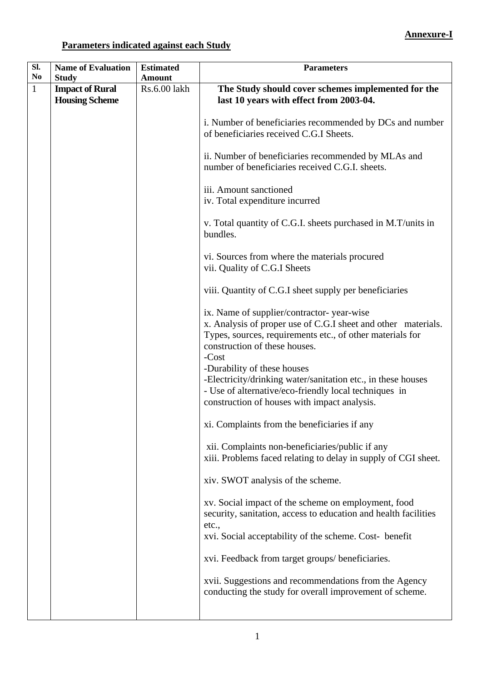# **Parameters indicated against each Study**

| SI.            | <b>Name of Evaluation</b> | <b>Estimated</b> | <b>Parameters</b>                                                                                                                                                                                                   |
|----------------|---------------------------|------------------|---------------------------------------------------------------------------------------------------------------------------------------------------------------------------------------------------------------------|
| N <sub>0</sub> | <b>Study</b>              | <b>Amount</b>    |                                                                                                                                                                                                                     |
| $\mathbf{1}$   | <b>Impact of Rural</b>    | Rs.6.00 lakh     | The Study should cover schemes implemented for the                                                                                                                                                                  |
|                | <b>Housing Scheme</b>     |                  | last 10 years with effect from 2003-04.                                                                                                                                                                             |
|                |                           |                  | i. Number of beneficiaries recommended by DCs and number<br>of beneficiaries received C.G.I Sheets.                                                                                                                 |
|                |                           |                  | ii. Number of beneficiaries recommended by MLAs and<br>number of beneficiaries received C.G.I. sheets.                                                                                                              |
|                |                           |                  | iii. Amount sanctioned<br>iv. Total expenditure incurred                                                                                                                                                            |
|                |                           |                  | v. Total quantity of C.G.I. sheets purchased in M.T/units in<br>bundles.                                                                                                                                            |
|                |                           |                  | vi. Sources from where the materials procured<br>vii. Quality of C.G.I Sheets                                                                                                                                       |
|                |                           |                  | viii. Quantity of C.G.I sheet supply per beneficiaries                                                                                                                                                              |
|                |                           |                  | ix. Name of supplier/contractor-year-wise<br>x. Analysis of proper use of C.G.I sheet and other materials.<br>Types, sources, requirements etc., of other materials for<br>construction of these houses.<br>$-Cost$ |
|                |                           |                  | -Durability of these houses<br>-Electricity/drinking water/sanitation etc., in these houses<br>- Use of alternative/eco-friendly local techniques in<br>construction of houses with impact analysis.                |
|                |                           |                  | xi. Complaints from the beneficiaries if any                                                                                                                                                                        |
|                |                           |                  | xii. Complaints non-beneficiaries/public if any<br>xiii. Problems faced relating to delay in supply of CGI sheet.                                                                                                   |
|                |                           |                  | xiv. SWOT analysis of the scheme.                                                                                                                                                                                   |
|                |                           |                  | xv. Social impact of the scheme on employment, food<br>security, sanitation, access to education and health facilities<br>etc.,                                                                                     |
|                |                           |                  | xvi. Social acceptability of the scheme. Cost- benefit                                                                                                                                                              |
|                |                           |                  | xvi. Feedback from target groups/ beneficiaries.                                                                                                                                                                    |
|                |                           |                  | xvii. Suggestions and recommendations from the Agency<br>conducting the study for overall improvement of scheme.                                                                                                    |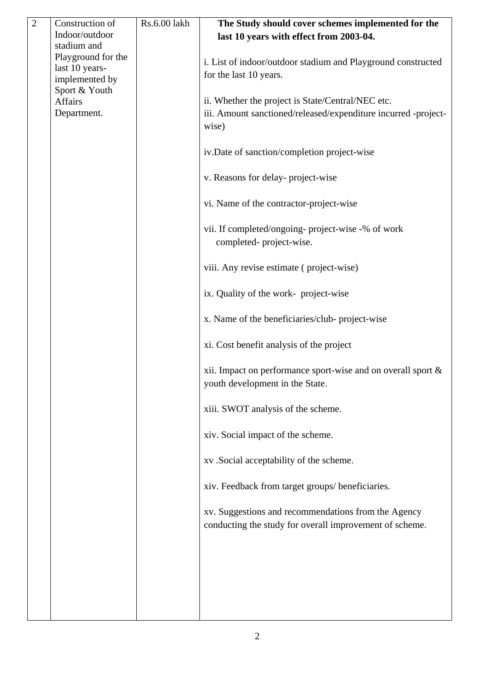| $\overline{2}$ | Construction of          | Rs.6.00 lakh | The Study should cover schemes implemented for the                                                             |
|----------------|--------------------------|--------------|----------------------------------------------------------------------------------------------------------------|
|                | Indoor/outdoor           |              | last 10 years with effect from 2003-04.                                                                        |
|                | stadium and              |              |                                                                                                                |
|                | Playground for the       |              | i. List of indoor/outdoor stadium and Playground constructed                                                   |
|                | last 10 years-           |              | for the last 10 years.                                                                                         |
|                | implemented by           |              |                                                                                                                |
|                | Sport & Youth<br>Affairs |              | ii. Whether the project is State/Central/NEC etc.                                                              |
|                | Department.              |              | iii. Amount sanctioned/released/expenditure incurred -project-                                                 |
|                |                          |              | wise)                                                                                                          |
|                |                          |              |                                                                                                                |
|                |                          |              | iv.Date of sanction/completion project-wise                                                                    |
|                |                          |              | v. Reasons for delay-project-wise                                                                              |
|                |                          |              | vi. Name of the contractor-project-wise                                                                        |
|                |                          |              | vii. If completed/ongoing- project-wise -% of work<br>completed-project-wise.                                  |
|                |                          |              | viii. Any revise estimate (project-wise)                                                                       |
|                |                          |              | ix. Quality of the work- project-wise                                                                          |
|                |                          |              | x. Name of the beneficiaries/club-project-wise                                                                 |
|                |                          |              | xi. Cost benefit analysis of the project                                                                       |
|                |                          |              | xii. Impact on performance sport-wise and on overall sport $\&$<br>youth development in the State.             |
|                |                          |              | xiii. SWOT analysis of the scheme.                                                                             |
|                |                          |              | xiv. Social impact of the scheme.                                                                              |
|                |                          |              | xv. Social acceptability of the scheme.                                                                        |
|                |                          |              | xiv. Feedback from target groups/ beneficiaries.                                                               |
|                |                          |              | xv. Suggestions and recommendations from the Agency<br>conducting the study for overall improvement of scheme. |
|                |                          |              |                                                                                                                |
|                |                          |              |                                                                                                                |
|                |                          |              |                                                                                                                |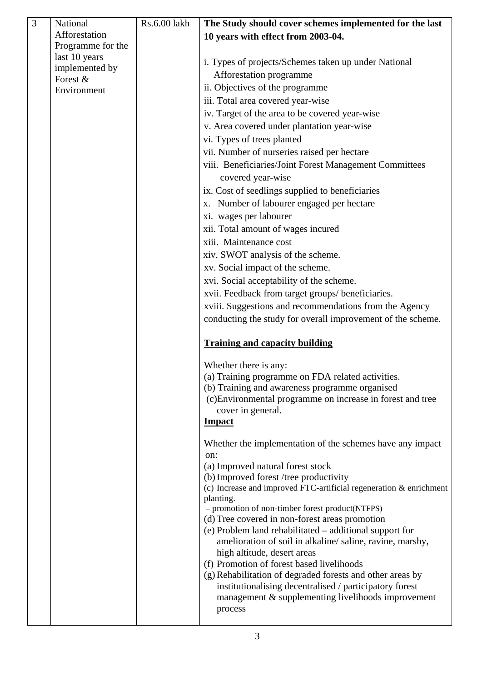| $\overline{3}$ | National          | Rs.6.00 lakh | The Study should cover schemes implemented for the last                           |
|----------------|-------------------|--------------|-----------------------------------------------------------------------------------|
|                | Afforestation     |              | 10 years with effect from 2003-04.                                                |
|                | Programme for the |              |                                                                                   |
|                | last 10 years     |              | i. Types of projects/Schemes taken up under National                              |
|                | implemented by    |              | Afforestation programme                                                           |
|                | Forest &          |              | ii. Objectives of the programme                                                   |
|                | Environment       |              | iii. Total area covered year-wise                                                 |
|                |                   |              |                                                                                   |
|                |                   |              | iv. Target of the area to be covered year-wise                                    |
|                |                   |              | v. Area covered under plantation year-wise                                        |
|                |                   |              | vi. Types of trees planted                                                        |
|                |                   |              | vii. Number of nurseries raised per hectare                                       |
|                |                   |              | viii. Beneficiaries/Joint Forest Management Committees                            |
|                |                   |              | covered year-wise                                                                 |
|                |                   |              | ix. Cost of seedlings supplied to beneficiaries                                   |
|                |                   |              | x. Number of labourer engaged per hectare                                         |
|                |                   |              | xi. wages per labourer                                                            |
|                |                   |              | xii. Total amount of wages incured                                                |
|                |                   |              | xiii. Maintenance cost                                                            |
|                |                   |              | xiv. SWOT analysis of the scheme.                                                 |
|                |                   |              | xv. Social impact of the scheme.                                                  |
|                |                   |              | xvi. Social acceptability of the scheme.                                          |
|                |                   |              | xvii. Feedback from target groups/ beneficiaries.                                 |
|                |                   |              | xviii. Suggestions and recommendations from the Agency                            |
|                |                   |              | conducting the study for overall improvement of the scheme.                       |
|                |                   |              |                                                                                   |
|                |                   |              | <b>Training and capacity building</b>                                             |
|                |                   |              | Whether there is any:                                                             |
|                |                   |              | (a) Training programme on FDA related activities.                                 |
|                |                   |              | (b) Training and awareness programme organised                                    |
|                |                   |              | (c) Environmental programme on increase in forest and tree                        |
|                |                   |              | cover in general.                                                                 |
|                |                   |              | <b>Impact</b>                                                                     |
|                |                   |              | Whether the implementation of the schemes have any impact                         |
|                |                   |              | on:                                                                               |
|                |                   |              | (a) Improved natural forest stock                                                 |
|                |                   |              | (b) Improved forest /tree productivity                                            |
|                |                   |              | (c) Increase and improved FTC-artificial regeneration $&$ enrichment<br>planting. |
|                |                   |              | - promotion of non-timber forest product(NTFPS)                                   |
|                |                   |              | (d) Tree covered in non-forest areas promotion                                    |
|                |                   |              | (e) Problem land rehabilitated - additional support for                           |
|                |                   |              | amelioration of soil in alkaline/saline, ravine, marshy,                          |
|                |                   |              | high altitude, desert areas                                                       |
|                |                   |              | (f) Promotion of forest based livelihoods                                         |
|                |                   |              | (g) Rehabilitation of degraded forests and other areas by                         |
|                |                   |              | institutionalising decentralised / participatory forest                           |
|                |                   |              | management & supplementing livelihoods improvement<br>process                     |
|                |                   |              |                                                                                   |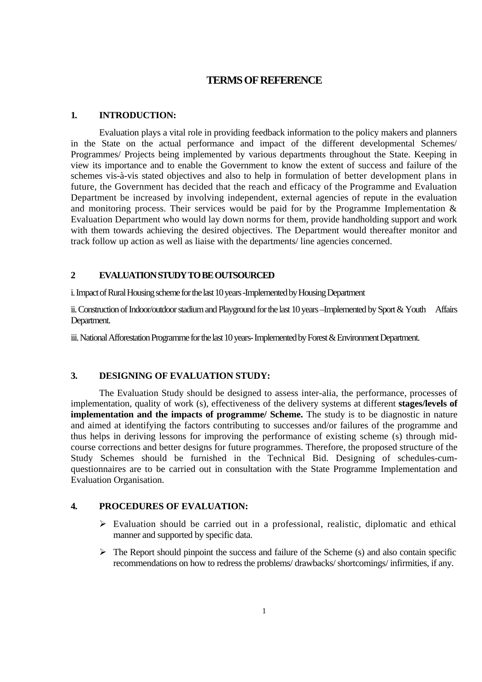## **TERMS OF REFERENCE**

#### **1. INTRODUCTION:**

 Evaluation plays a vital role in providing feedback information to the policy makers and planners in the State on the actual performance and impact of the different developmental Schemes/ Programmes/ Projects being implemented by various departments throughout the State. Keeping in view its importance and to enable the Government to know the extent of success and failure of the schemes vis-à-vis stated objectives and also to help in formulation of better development plans in future, the Government has decided that the reach and efficacy of the Programme and Evaluation Department be increased by involving independent, external agencies of repute in the evaluation and monitoring process. Their services would be paid for by the Programme Implementation & Evaluation Department who would lay down norms for them, provide handholding support and work with them towards achieving the desired objectives. The Department would thereafter monitor and track follow up action as well as liaise with the departments/ line agencies concerned.

## **2 EVALUATION STUDY TO BE OUTSOURCED**

i. Impact of Rural Housing scheme for the last 10 years -Implemented by Housing Department

ii. Construction of Indoor/outdoor stadium and Playground for the last 10 years –Implemented by Sport & Youth Affairs Department.

iii. National Afforestation Programme for the last 10 years- Implemented by Forest & Environment Department.

## **3. DESIGNING OF EVALUATION STUDY:**

 The Evaluation Study should be designed to assess inter-alia, the performance, processes of implementation, quality of work (s), effectiveness of the delivery systems at different **stages/levels of implementation and the impacts of programme/ Scheme.** The study is to be diagnostic in nature and aimed at identifying the factors contributing to successes and/or failures of the programme and thus helps in deriving lessons for improving the performance of existing scheme (s) through midcourse corrections and better designs for future programmes. Therefore, the proposed structure of the Study Schemes should be furnished in the Technical Bid. Designing of schedules-cumquestionnaires are to be carried out in consultation with the State Programme Implementation and Evaluation Organisation.

## **4. PROCEDURES OF EVALUATION:**

- $\triangleright$  Evaluation should be carried out in a professional, realistic, diplomatic and ethical manner and supported by specific data.
- $\triangleright$  The Report should pinpoint the success and failure of the Scheme (s) and also contain specific recommendations on how to redress the problems/ drawbacks/ shortcomings/ infirmities, if any.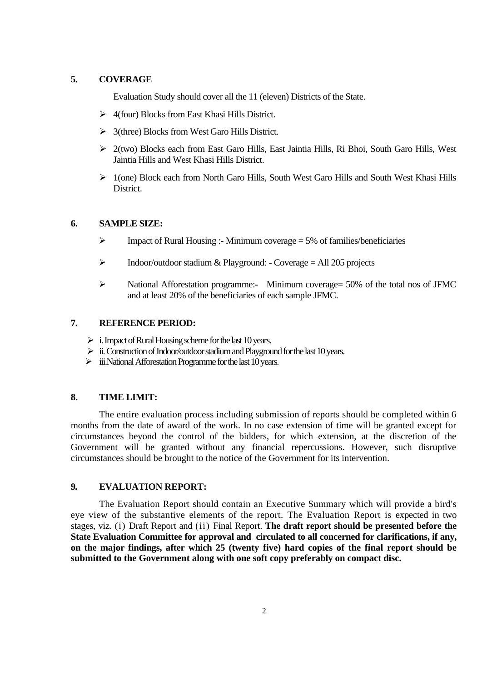#### **5. COVERAGE**

Evaluation Study should cover all the 11 (eleven) Districts of the State.

- $\triangleright$  4(four) Blocks from East Khasi Hills District.
- $\geq$  3(three) Blocks from West Garo Hills District.
- $\geq$  2(two) Blocks each from East Garo Hills, East Jaintia Hills, Ri Bhoi, South Garo Hills, West Jaintia Hills and West Khasi Hills District.
- $\geq 1$ (one) Block each from North Garo Hills, South West Garo Hills and South West Khasi Hills District.

#### **6. SAMPLE SIZE:**

- $\triangleright$  Impact of Rural Housing :- Minimum coverage = 5% of families/beneficiaries
- $\triangleright$  Indoor/outdoor stadium & Playground: Coverage = All 205 projects
- $\triangleright$  National Afforestation programme:- Minimum coverage = 50% of the total nos of JFMC and at least 20% of the beneficiaries of each sample JFMC.

#### **7. REFERENCE PERIOD:**

- $\triangleright$  i. Impact of Rural Housing scheme for the last 10 years.
- $\triangleright$  ii. Construction of Indoor/outdoor stadium and Playground for the last 10 years.
- $\triangleright$  iii. National Afforestation Programme for the last 10 years.

## **8. TIME LIMIT:**

 The entire evaluation process including submission of reports should be completed within 6 months from the date of award of the work. In no case extension of time will be granted except for circumstances beyond the control of the bidders, for which extension, at the discretion of the Government will be granted without any financial repercussions. However, such disruptive circumstances should be brought to the notice of the Government for its intervention.

#### **9. EVALUATION REPORT:**

 The Evaluation Report should contain an Executive Summary which will provide a bird's eye view of the substantive elements of the report. The Evaluation Report is expected in two stages, viz. (i) Draft Report and (ii) Final Report. **The draft report should be presented before the State Evaluation Committee for approval and circulated to all concerned for clarifications, if any, on the major findings, after which 25 (twenty five) hard copies of the final report should be submitted to the Government along with one soft copy preferably on compact disc.**